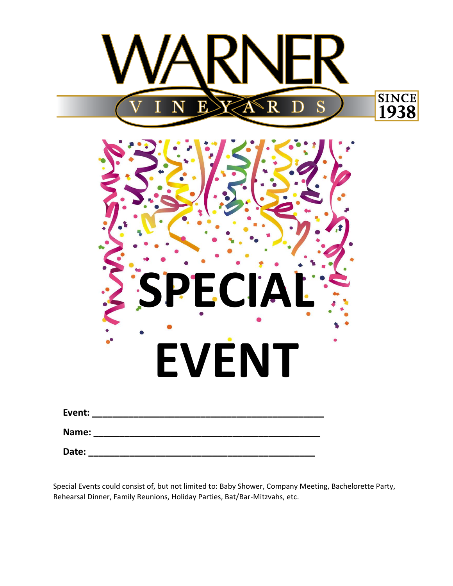

Special Events could consist of, but not limited to: Baby Shower, Company Meeting, Bachelorette Party, Rehearsal Dinner, Family Reunions, Holiday Parties, Bat/Bar-Mitzvahs, etc.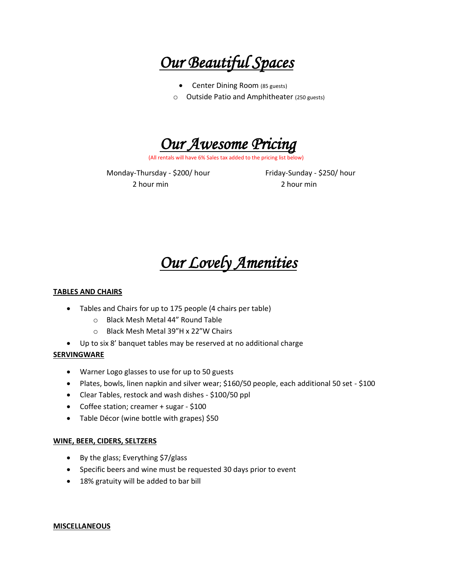*Our Beautiful Spaces*

- Center Dining Room (85 guests)
- o Outside Patio and Amphitheater (250 guests)



(All rentals will have 6% Sales tax added to the pricing list below)

Monday-Thursday - \$200/ hour Friday-Sunday - \$250/ hour 2 hour min 2 hour min

# *Our Lovely Amenities*

## **TABLES AND CHAIRS**

- Tables and Chairs for up to 175 people (4 chairs per table)
	- o Black Mesh Metal 44" Round Table
	- o Black Mesh Metal 39"H x 22"W Chairs
- Up to six 8' banquet tables may be reserved at no additional charge

## **SERVINGWARE**

- Warner Logo glasses to use for up to 50 guests
- Plates, bowls, linen napkin and silver wear; \$160/50 people, each additional 50 set \$100
- Clear Tables, restock and wash dishes \$100/50 ppl
- Coffee station; creamer + sugar \$100
- Table Décor (wine bottle with grapes) \$50

## **WINE, BEER, CIDERS, SELTZERS**

- By the glass; Everything \$7/glass
- Specific beers and wine must be requested 30 days prior to event
- 18% gratuity will be added to bar bill

#### **MISCELLANEOUS**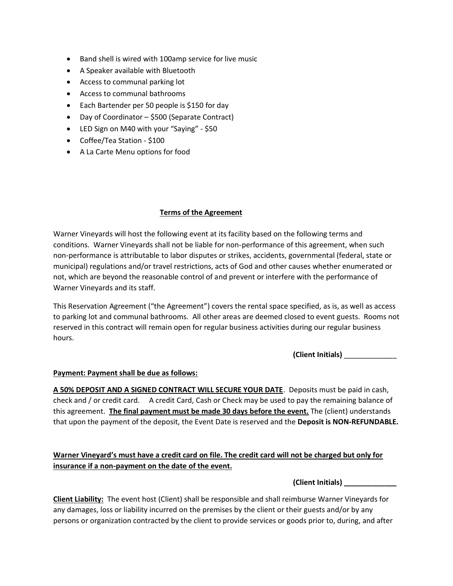- Band shell is wired with 100amp service for live music
- A Speaker available with Bluetooth
- Access to communal parking lot
- Access to communal bathrooms
- Each Bartender per 50 people is \$150 for day
- Day of Coordinator \$500 (Separate Contract)
- LED Sign on M40 with your "Saying" \$50
- Coffee/Tea Station \$100
- A La Carte Menu options for food

## **Terms of the Agreement**

Warner Vineyards will host the following event at its facility based on the following terms and conditions. Warner Vineyards shall not be liable for non-performance of this agreement, when such non-performance is attributable to labor disputes or strikes, accidents, governmental (federal, state or municipal) regulations and/or travel restrictions, acts of God and other causes whether enumerated or not, which are beyond the reasonable control of and prevent or interfere with the performance of Warner Vineyards and its staff.

This Reservation Agreement ("the Agreement") covers the rental space specified, as is, as well as access to parking lot and communal bathrooms. All other areas are deemed closed to event guests. Rooms not reserved in this contract will remain open for regular business activities during our regular business hours.

**(Client Initials)** \_\_\_\_\_\_\_\_\_\_\_\_\_

# **Payment: Payment shall be due as follows:**

**A 50% DEPOSIT AND A SIGNED CONTRACT WILL SECURE YOUR DATE**. Deposits must be paid in cash, check and / or credit card. A credit Card, Cash or Check may be used to pay the remaining balance of this agreement. **The final payment must be made 30 days before the event.** The (client) understands that upon the payment of the deposit, the Event Date is reserved and the **Deposit is NON-REFUNDABLE.** 

# **Warner Vineyard's must have a credit card on file. The credit card will not be charged but only for insurance if a non-payment on the date of the event.**

**(Client Initials) \_\_\_\_\_\_\_\_\_\_\_\_\_**

**Client Liability:** The event host (Client) shall be responsible and shall reimburse Warner Vineyards for any damages, loss or liability incurred on the premises by the client or their guests and/or by any persons or organization contracted by the client to provide services or goods prior to, during, and after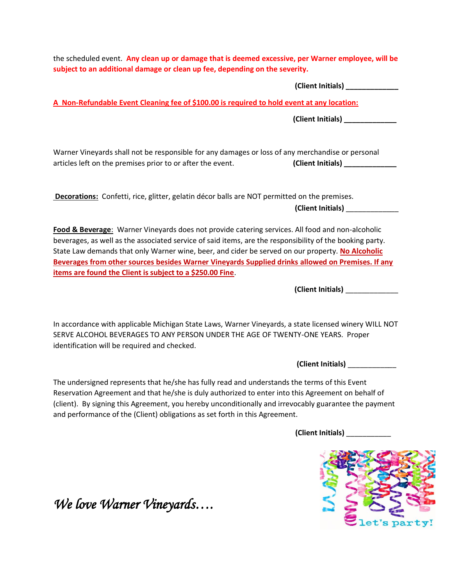the scheduled event. **Any clean up or damage that is deemed excessive, per Warner employee, will be subject to an additional damage or clean up fee, depending on the severity. (Client Initials) \_\_\_\_\_\_\_\_\_\_\_\_\_ A Non-Refundable Event Cleaning fee of \$100.00 is required to hold event at any location: (Client Initials) \_\_\_\_\_\_\_\_\_\_\_\_\_** Warner Vineyards shall not be responsible for any damages or loss of any merchandise or personal articles left on the premises prior to or after the event. **(Client Initials) Decorations:** Confetti, rice, glitter, gelatin décor balls are NOT permitted on the premises. **(Client Initials)** \_\_\_\_\_\_\_\_\_\_\_\_\_ **Food & Beverage**: Warner Vineyards does not provide catering services. All food and non-alcoholic beverages, as well as the associated service of said items, are the responsibility of the booking party. State Law demands that only Warner wine, beer, and cider be served on our property. **No Alcoholic Beverages from other sources besides Warner Vineyards Supplied drinks allowed on Premises. If any items are found the Client is subject to a \$250.00 Fine**.  **(Client Initials)** \_\_\_\_\_\_\_\_\_\_\_\_\_ In accordance with applicable Michigan State Laws, Warner Vineyards, a state licensed winery WILL NOT SERVE ALCOHOL BEVERAGES TO ANY PERSON UNDER THE AGE OF TWENTY-ONE YEARS. Proper identification will be required and checked. **(Client Initials)** \_\_\_\_\_\_\_\_\_\_\_\_ The undersigned represents that he/she has fully read and understands the terms of this Event

Reservation Agreement and that he/she is duly authorized to enter into this Agreement on behalf of (client). By signing this Agreement, you hereby unconditionally and irrevocably guarantee the payment and performance of the (Client) obligations as set forth in this Agreement.

**(Client Initials)** \_\_\_\_\_\_\_\_\_\_\_



*We love Warner Vineyards….*